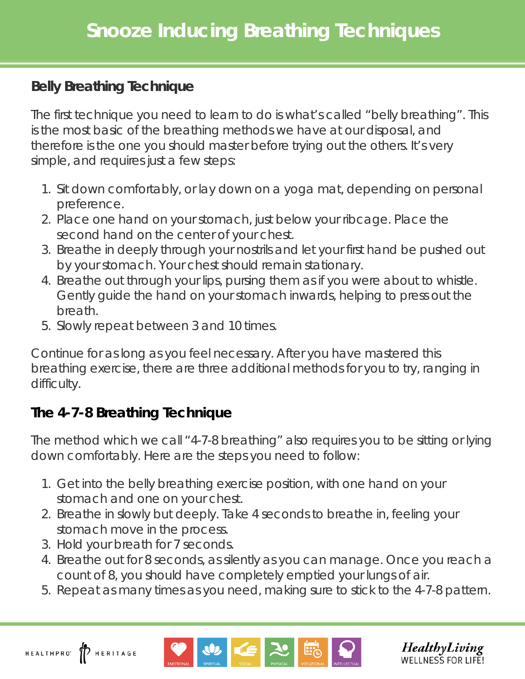## **Belly Breathing Technique**

The first technique you need to learn to do is what's called "belly breathing". This is the most basic of the breathing methods we have at our disposal, and therefore is the one you should master before trying out the others. It's very simple, and requires just a few steps:

- 1. Sit down comfortably, or lay down on a yoga mat, depending on personal preference.
- 2. Place one hand on your stomach, just below your ribcage. Place the second hand on the center of your chest.
- 3. Breathe in deeply through your nostrils and let your first hand be pushed out by your stomach. Your chest should remain stationary.
- 4. Breathe out through your lips, pursing them as if you were about to whistle. Gently guide the hand on your stomach inwards, helping to press out the breath.
- 5. Slowly repeat between 3 and 10 times.

Continue for as long as you feel necessary. After you have mastered this breathing exercise, there are three additional methods for you to try, ranging in difficulty.

## **The 4-7-8 Breathing Technique**

The method which we call "4-7-8 breathing" also requires you to be sitting or lying down comfortably. Here are the steps you need to follow:

- 1. Get into the belly breathing exercise position, with one hand on your stomach and one on your chest.
- 2. Breathe in slowly but deeply. Take 4 seconds to breathe in, feeling your stomach move in the process.
- 3. Hold your breath for 7 seconds.
- 4. Breathe out for 8 seconds, as silently as you can manage. Once you reach a count of 8, you should have completely emptied your lungs of air.
- 5. Repeat as many times as you need, making sure to stick to the 4-7-8 pattern.



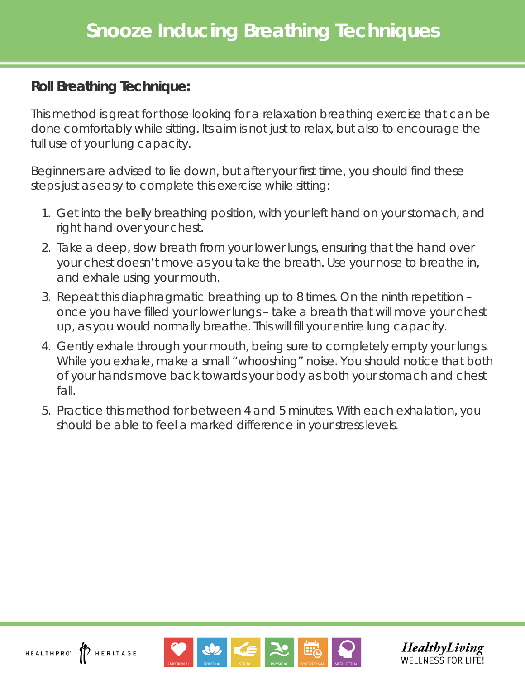## **Roll Breathing Technique:**

This method is great for those looking for a relaxation breathing exercise that can be done comfortably while sitting. Its aim is not just to relax, but also to encourage the full use of your lung capacity.

Beginners are advised to lie down, but after your first time, you should find these steps just as easy to complete this exercise while sitting:

- 1. Get into the belly breathing position, with your left hand on your stomach, and right hand over your chest.
- 2. Take a deep, slow breath from your lower lungs, ensuring that the hand over your chest doesn't move as you take the breath. Use your nose to breathe in, and exhale using your mouth.
- 3. Repeat this diaphragmatic breathing up to 8 times. On the ninth repetition once you have filled your lower lungs – take a breath that will move your chest up, as you would normally breathe. This will fill your entire lung capacity.
- 4. Gently exhale through your mouth, being sure to completely empty your lungs. While you exhale, make a small "whooshing" noise. You should notice that both of your hands move back towards your body as both your stomach and chest fall.
- 5. Practice this method for between 4 and 5 minutes. With each exhalation, you should be able to feel a marked difference in your stress levels.